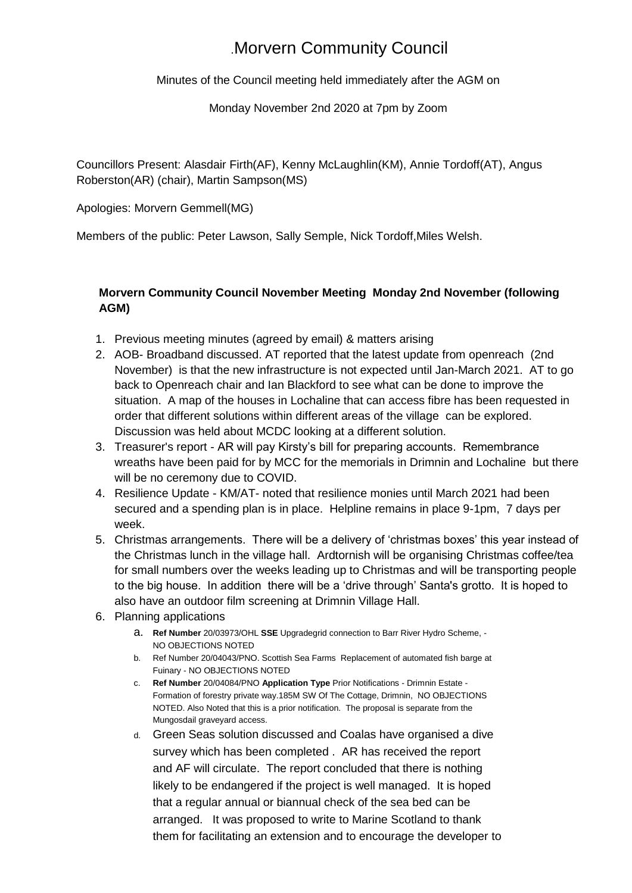## .Morvern Community Council

Minutes of the Council meeting held immediately after the AGM on

## Monday November 2nd 2020 at 7pm by Zoom

Councillors Present: Alasdair Firth(AF), Kenny McLaughlin(KM), Annie Tordoff(AT), Angus Roberston(AR) (chair), Martin Sampson(MS)

Apologies: Morvern Gemmell(MG)

Members of the public: Peter Lawson, Sally Semple, Nick Tordoff,Miles Welsh.

## **Morvern Community Council November Meeting Monday 2nd November (following AGM)**

- 1. Previous meeting minutes (agreed by email) & matters arising
- 2. AOB- Broadband discussed. AT reported that the latest update from openreach (2nd November) is that the new infrastructure is not expected until Jan-March 2021. AT to go back to Openreach chair and Ian Blackford to see what can be done to improve the situation. A map of the houses in Lochaline that can access fibre has been requested in order that different solutions within different areas of the village can be explored. Discussion was held about MCDC looking at a different solution.
- 3. Treasurer's report AR will pay Kirsty's bill for preparing accounts. Remembrance wreaths have been paid for by MCC for the memorials in Drimnin and Lochaline but there will be no ceremony due to COVID.
- 4. Resilience Update KM/AT- noted that resilience monies until March 2021 had been secured and a spending plan is in place. Helpline remains in place 9-1pm, 7 days per week.
- 5. Christmas arrangements. There will be a delivery of 'christmas boxes' this year instead of the Christmas lunch in the village hall. Ardtornish will be organising Christmas coffee/tea for small numbers over the weeks leading up to Christmas and will be transporting people to the big house. In addition there will be a 'drive through' Santa's grotto. It is hoped to also have an outdoor film screening at Drimnin Village Hall.
- 6. Planning applications
	- a. **Ref Number** 20/03973/OHL **SSE** Upgradegrid connection to Barr River Hydro Scheme, NO OBJECTIONS NOTED
	- b. Ref Number 20/04043/PNO. Scottish Sea Farms Replacement of automated fish barge at Fuinary - NO OBJECTIONS NOTED
	- c. **Ref Number** 20/04084/PNO **Application Type** Prior Notifications Drimnin Estate Formation of forestry private way.185M SW Of The Cottage, Drimnin, NO OBJECTIONS NOTED. Also Noted that this is a prior notification. The proposal is separate from the Mungosdail graveyard access.
	- d. Green Seas solution discussed and Coalas have organised a dive survey which has been completed . AR has received the report and AF will circulate. The report concluded that there is nothing likely to be endangered if the project is well managed. It is hoped that a regular annual or biannual check of the sea bed can be arranged. It was proposed to write to Marine Scotland to thank them for facilitating an extension and to encourage the developer to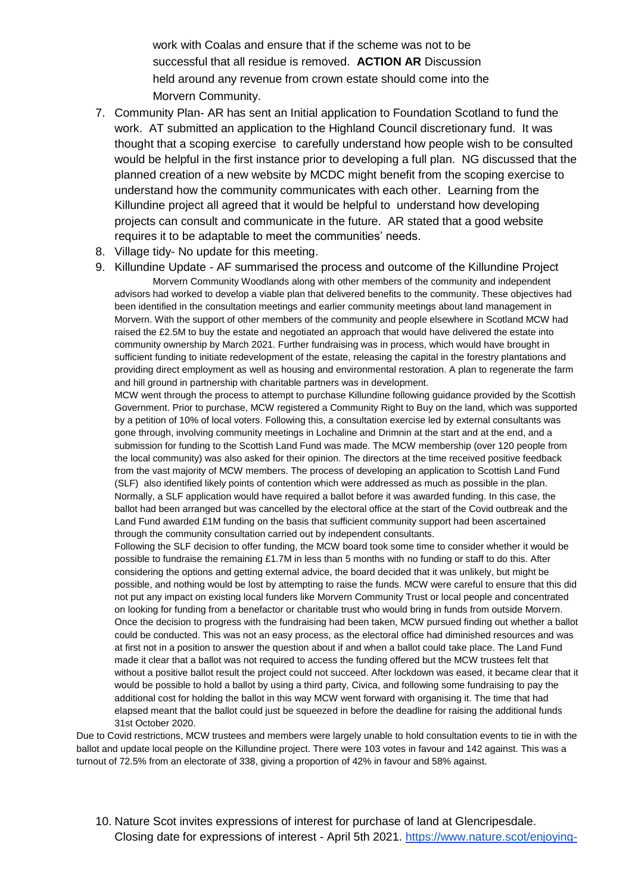work with Coalas and ensure that if the scheme was not to be successful that all residue is removed. **ACTION AR** Discussion held around any revenue from crown estate should come into the Morvern Community.

- 7. Community Plan- AR has sent an Initial application to Foundation Scotland to fund the work. AT submitted an application to the Highland Council discretionary fund. It was thought that a scoping exercise to carefully understand how people wish to be consulted would be helpful in the first instance prior to developing a full plan. NG discussed that the planned creation of a new website by MCDC might benefit from the scoping exercise to understand how the community communicates with each other. Learning from the Killundine project all agreed that it would be helpful to understand how developing projects can consult and communicate in the future. AR stated that a good website requires it to be adaptable to meet the communities' needs.
- 8. Village tidy- No update for this meeting.

9. Killundine Update - AF summarised the process and outcome of the Killundine Project Morvern Community Woodlands along with other members of the community and independent advisors had worked to develop a viable plan that delivered benefits to the community. These objectives had been identified in the consultation meetings and earlier community meetings about land management in Morvern. With the support of other members of the community and people elsewhere in Scotland MCW had raised the £2.5M to buy the estate and negotiated an approach that would have delivered the estate into community ownership by March 2021. Further fundraising was in process, which would have brought in sufficient funding to initiate redevelopment of the estate, releasing the capital in the forestry plantations and providing direct employment as well as housing and environmental restoration. A plan to regenerate the farm and hill ground in partnership with charitable partners was in development.

MCW went through the process to attempt to purchase Killundine following guidance provided by the Scottish Government. Prior to purchase, MCW registered a Community Right to Buy on the land, which was supported by a petition of 10% of local voters. Following this, a consultation exercise led by external consultants was gone through, involving community meetings in Lochaline and Drimnin at the start and at the end, and a submission for funding to the Scottish Land Fund was made. The MCW membership (over 120 people from the local community) was also asked for their opinion. The directors at the time received positive feedback from the vast majority of MCW members. The process of developing an application to Scottish Land Fund (SLF) also identified likely points of contention which were addressed as much as possible in the plan. Normally, a SLF application would have required a ballot before it was awarded funding. In this case, the ballot had been arranged but was cancelled by the electoral office at the start of the Covid outbreak and the Land Fund awarded £1M funding on the basis that sufficient community support had been ascertained through the community consultation carried out by independent consultants.

Following the SLF decision to offer funding, the MCW board took some time to consider whether it would be possible to fundraise the remaining £1.7M in less than 5 months with no funding or staff to do this. After considering the options and getting external advice, the board decided that it was unlikely, but might be possible, and nothing would be lost by attempting to raise the funds. MCW were careful to ensure that this did not put any impact on existing local funders like Morvern Community Trust or local people and concentrated on looking for funding from a benefactor or charitable trust who would bring in funds from outside Morvern. Once the decision to progress with the fundraising had been taken, MCW pursued finding out whether a ballot could be conducted. This was not an easy process, as the electoral office had diminished resources and was at first not in a position to answer the question about if and when a ballot could take place. The Land Fund made it clear that a ballot was not required to access the funding offered but the MCW trustees felt that without a positive ballot result the project could not succeed. After lockdown was eased, it became clear that it would be possible to hold a ballot by using a third party, Civica, and following some fundraising to pay the additional cost for holding the ballot in this way MCW went forward with organising it. The time that had elapsed meant that the ballot could just be squeezed in before the deadline for raising the additional funds 31st October 2020.

Due to Covid restrictions, MCW trustees and members were largely unable to hold consultation events to tie in with the ballot and update local people on the Killundine project. There were 103 votes in favour and 142 against. This was a turnout of 72.5% from an electorate of 338, giving a proportion of 42% in favour and 58% against.

10. Nature Scot invites expressions of interest for purchase of land at Glencripesdale. Closing date for expressions of interest - April 5th 2021[.](https://www.nature.scot/enjoying-outdoors/naturescot-nature-reserves/glencripesdale-nature-reserve) [https://www.nature.scot/enjoying-](https://www.nature.scot/enjoying-outdoors/naturescot-nature-reserves/glencripesdale-nature-reserve)